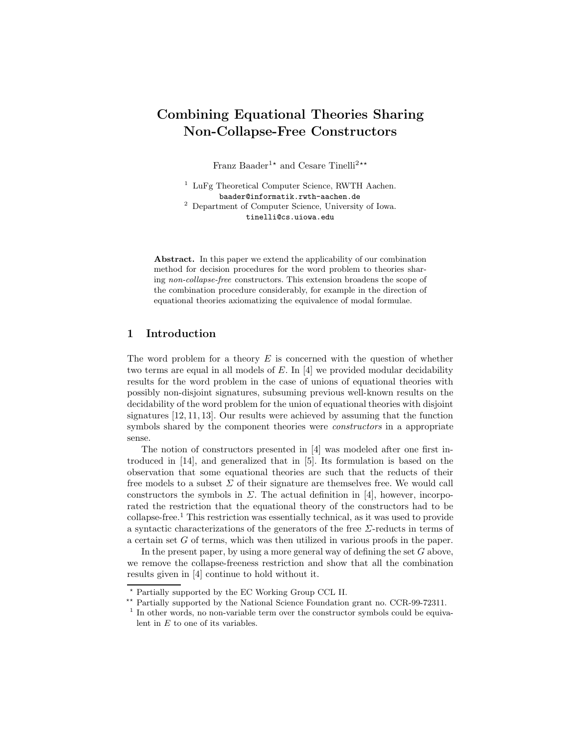# Combining Equational Theories Sharing Non-Collapse-Free Constructors

Franz Baader<sup>1\*</sup> and Cesare Tinelli<sup>2\*\*</sup>

<sup>1</sup> LuFg Theoretical Computer Science, RWTH Aachen. baader@informatik.rwth-aachen.de <sup>2</sup> Department of Computer Science, University of Iowa. tinelli@cs.uiowa.edu

Abstract. In this paper we extend the applicability of our combination method for decision procedures for the word problem to theories sharing non-collapse-free constructors. This extension broadens the scope of the combination procedure considerably, for example in the direction of equational theories axiomatizing the equivalence of modal formulae.

## 1 Introduction

The word problem for a theory  $E$  is concerned with the question of whether two terms are equal in all models of E. In [4] we provided modular decidability results for the word problem in the case of unions of equational theories with possibly non-disjoint signatures, subsuming previous well-known results on the decidability of the word problem for the union of equational theories with disjoint signatures [12, 11, 13]. Our results were achieved by assuming that the function symbols shared by the component theories were *constructors* in a appropriate sense.

The notion of constructors presented in [4] was modeled after one first introduced in [14], and generalized that in [5]. Its formulation is based on the observation that some equational theories are such that the reducts of their free models to a subset  $\Sigma$  of their signature are themselves free. We would call constructors the symbols in  $\Sigma$ . The actual definition in [4], however, incorporated the restriction that the equational theory of the constructors had to be collapse-free.<sup>1</sup> This restriction was essentially technical, as it was used to provide a syntactic characterizations of the generators of the free  $\Sigma$ -reducts in terms of a certain set G of terms, which was then utilized in various proofs in the paper.

In the present paper, by using a more general way of defining the set  $G$  above, we remove the collapse-freeness restriction and show that all the combination results given in [4] continue to hold without it.

 $^\star$  Partially supported by the EC Working Group CCL II.

<sup>\*\*</sup> Partially supported by the National Science Foundation grant no. CCR-99-72311.

<sup>&</sup>lt;sup>1</sup> In other words, no non-variable term over the constructor symbols could be equivalent in  $E$  to one of its variables.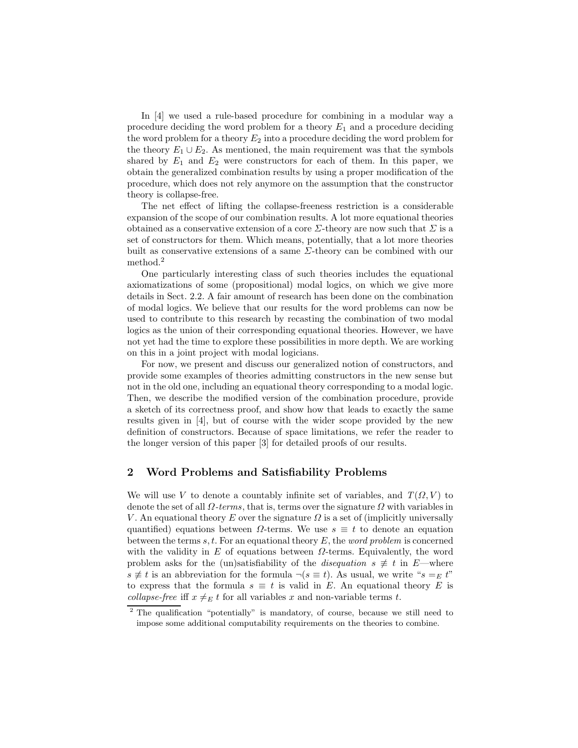In [4] we used a rule-based procedure for combining in a modular way a procedure deciding the word problem for a theory  $E_1$  and a procedure deciding the word problem for a theory  $E_2$  into a procedure deciding the word problem for the theory  $E_1 \cup E_2$ . As mentioned, the main requirement was that the symbols shared by  $E_1$  and  $E_2$  were constructors for each of them. In this paper, we obtain the generalized combination results by using a proper modification of the procedure, which does not rely anymore on the assumption that the constructor theory is collapse-free.

The net effect of lifting the collapse-freeness restriction is a considerable expansion of the scope of our combination results. A lot more equational theories obtained as a conservative extension of a core  $\Sigma$ -theory are now such that  $\Sigma$  is a set of constructors for them. Which means, potentially, that a lot more theories built as conservative extensions of a same  $\Sigma$ -theory can be combined with our method.<sup>2</sup>

One particularly interesting class of such theories includes the equational axiomatizations of some (propositional) modal logics, on which we give more details in Sect. 2.2. A fair amount of research has been done on the combination of modal logics. We believe that our results for the word problems can now be used to contribute to this research by recasting the combination of two modal logics as the union of their corresponding equational theories. However, we have not yet had the time to explore these possibilities in more depth. We are working on this in a joint project with modal logicians.

For now, we present and discuss our generalized notion of constructors, and provide some examples of theories admitting constructors in the new sense but not in the old one, including an equational theory corresponding to a modal logic. Then, we describe the modified version of the combination procedure, provide a sketch of its correctness proof, and show how that leads to exactly the same results given in [4], but of course with the wider scope provided by the new definition of constructors. Because of space limitations, we refer the reader to the longer version of this paper [3] for detailed proofs of our results.

## 2 Word Problems and Satisfiability Problems

We will use V to denote a countably infinite set of variables, and  $T(\Omega, V)$  to denote the set of all  $\Omega$ -terms, that is, terms over the signature  $\Omega$  with variables in V. An equational theory E over the signature  $\Omega$  is a set of (implicitly universally quantified) equations between  $\Omega$ -terms. We use  $s \equiv t$  to denote an equation between the terms s, t. For an equational theory  $E$ , the *word problem* is concerned with the validity in E of equations between  $\Omega$ -terms. Equivalently, the word problem asks for the (un)satisfiability of the *disequation*  $s \neq t$  in E—where  $s \neq t$  is an abbreviation for the formula  $\neg (s \equiv t)$ . As usual, we write " $s =_E t$ " to express that the formula  $s \equiv t$  is valid in E. An equational theory E is collapse-free iff  $x \neq_E t$  for all variables x and non-variable terms t.

<sup>2</sup> The qualification "potentially" is mandatory, of course, because we still need to impose some additional computability requirements on the theories to combine.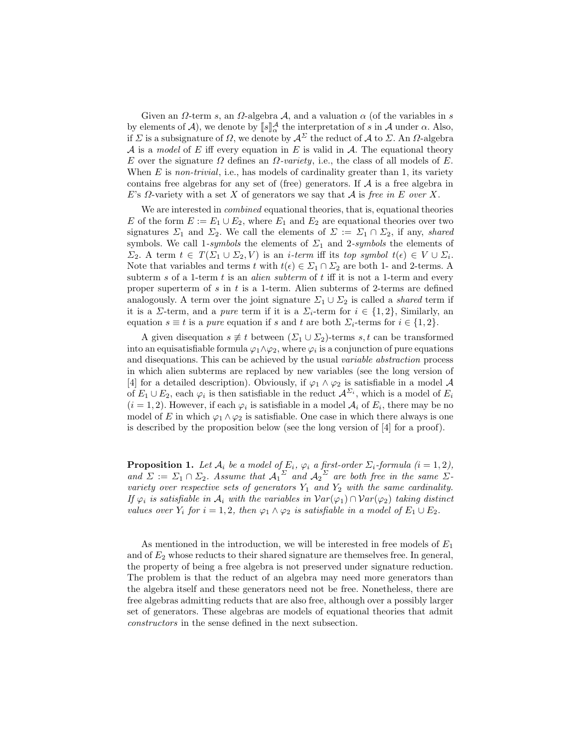Given an  $\Omega$ -term s, an  $\Omega$ -algebra  $\mathcal{A}$ , and a valuation  $\alpha$  (of the variables in s by elements of  $\mathcal{A}$ ), we denote by  $[\![s]\!]_{\alpha}^{\mathcal{A}}$  the interpretation of s in  $\mathcal{A}$  under  $\alpha$ . Also, if  $\Sigma$  is a subsignature of  $\Omega$ , we denote by  $\mathcal{A}^{\Sigma}$  the reduct of  $\mathcal A$  to  $\Sigma$ . An  $\Omega$ -algebra A is a model of E iff every equation in E is valid in A. The equational theory E over the signature  $\Omega$  defines an  $\Omega$ -variety, i.e., the class of all models of E. When  $E$  is non-trivial, i.e., has models of cardinality greater than 1, its variety contains free algebras for any set of (free) generators. If  $A$  is a free algebra in E's  $\Omega$ -variety with a set X of generators we say that A is free in E over X.

We are interested in *combined* equational theories, that is, equational theories E of the form  $E := E_1 \cup E_2$ , where  $E_1$  and  $E_2$  are equational theories over two signatures  $\Sigma_1$  and  $\Sigma_2$ . We call the elements of  $\Sigma := \Sigma_1 \cap \Sigma_2$ , if any, shared symbols. We call 1-symbols the elements of  $\Sigma_1$  and 2-symbols the elements of  $\Sigma_2$ . A term  $t \in T(\Sigma_1 \cup \Sigma_2, V)$  is an *i*-term iff its top symbol  $t(\epsilon) \in V \cup \Sigma_i$ . Note that variables and terms t with  $t(\epsilon) \in \Sigma_1 \cap \Sigma_2$  are both 1- and 2-terms. A subterm s of a 1-term  $t$  is an *alien subterm* of  $t$  iff it is not a 1-term and every proper superterm of s in t is a 1-term. Alien subterms of 2-terms are defined analogously. A term over the joint signature  $\Sigma_1 \cup \Sigma_2$  is called a *shared* term if it is a  $\Sigma$ -term, and a *pure* term if it is a  $\Sigma_i$ -term for  $i \in \{1,2\}$ , Similarly, an equation  $s \equiv t$  is a *pure* equation if s and t are both  $\Sigma_i$ -terms for  $i \in \{1,2\}$ .

A given disequation  $s \neq t$  between  $(\Sigma_1 \cup \Sigma_2)$ -terms  $s, t$  can be transformed into an equisatisfiable formula  $\varphi_1 \wedge \varphi_2$ , where  $\varphi_i$  is a conjunction of pure equations and disequations. This can be achieved by the usual variable abstraction process in which alien subterms are replaced by new variables (see the long version of [4] for a detailed description). Obviously, if  $\varphi_1 \wedge \varphi_2$  is satisfiable in a model A of  $E_1 \cup E_2$ , each  $\varphi_i$  is then satisfiable in the reduct  $\mathcal{A}^{\Sigma_i}$ , which is a model of  $E_i$  $(i = 1, 2)$ . However, if each  $\varphi_i$  is satisfiable in a model  $\mathcal{A}_i$  of  $E_i$ , there may be no model of E in which  $\varphi_1 \wedge \varphi_2$  is satisfiable. One case in which there always is one is described by the proposition below (see the long version of [4] for a proof).

**Proposition 1.** Let  $A_i$  be a model of  $E_i$ ,  $\varphi_i$  a first-order  $\Sigma_i$ -formula  $(i = 1, 2)$ , and  $\Sigma := \Sigma_1 \cap \Sigma_2$ . Assume that  ${\mathcal{A}_1}^{\Sigma}$  and  ${\mathcal{A}_2}^{\Sigma}$  are both free in the same  $\Sigma$ variety over respective sets of generators  $Y_1$  and  $Y_2$  with the same cardinality. If  $\varphi_i$  is satisfiable in  $\mathcal{A}_i$  with the variables in  $Var(\varphi_1) \cap Var(\varphi_2)$  taking distinct values over  $Y_i$  for  $i = 1, 2$ , then  $\varphi_1 \wedge \varphi_2$  is satisfiable in a model of  $E_1 \cup E_2$ .

As mentioned in the introduction, we will be interested in free models of  $E_1$ and of  $E_2$  whose reducts to their shared signature are themselves free. In general, the property of being a free algebra is not preserved under signature reduction. The problem is that the reduct of an algebra may need more generators than the algebra itself and these generators need not be free. Nonetheless, there are free algebras admitting reducts that are also free, although over a possibly larger set of generators. These algebras are models of equational theories that admit constructors in the sense defined in the next subsection.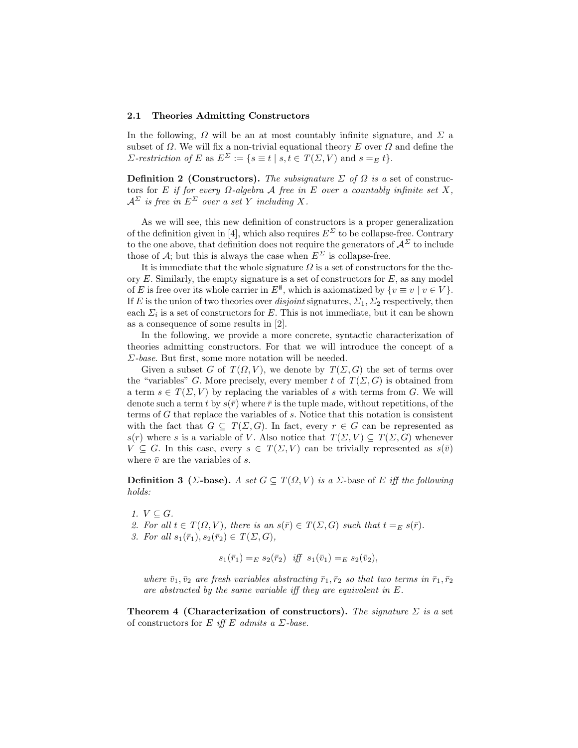#### 2.1 Theories Admitting Constructors

In the following,  $\Omega$  will be an at most countably infinite signature, and  $\Sigma$  a subset of  $\Omega$ . We will fix a non-trivial equational theory E over  $\Omega$  and define the *Σ*-restriction of *E* as  $E^{\Sigma} := \{ s \equiv t \mid s, t \in T(\Sigma, V) \text{ and } s =_E t \}.$ 

**Definition 2 (Constructors).** The subsignature  $\Sigma$  of  $\Omega$  is a set of constructors for E if for every  $\Omega$ -algebra A free in E over a countably infinite set X,  $A^{\Sigma}$  is free in  $E^{\Sigma}$  over a set Y including X.

As we will see, this new definition of constructors is a proper generalization of the definition given in [4], which also requires  $E^{\Sigma}$  to be collapse-free. Contrary to the one above, that definition does not require the generators of  $\mathcal{A}^{\Sigma}$  to include those of A; but this is always the case when  $E^{\Sigma}$  is collapse-free.

It is immediate that the whole signature  $\Omega$  is a set of constructors for the theory  $E$ . Similarly, the empty signature is a set of constructors for  $E$ , as any model of E is free over its whole carrier in  $E^{\emptyset}$ , which is axiomatized by  $\{v \equiv v \mid v \in V\}$ . If E is the union of two theories over *disjoint* signatures,  $\Sigma_1$ ,  $\Sigma_2$  respectively, then each  $\Sigma_i$  is a set of constructors for E. This is not immediate, but it can be shown as a consequence of some results in [2].

In the following, we provide a more concrete, syntactic characterization of theories admitting constructors. For that we will introduce the concept of a  $\Sigma$ -base. But first, some more notation will be needed.

Given a subset G of  $T(\Omega, V)$ , we denote by  $T(\Sigma, G)$  the set of terms over the "variables" G. More precisely, every member t of  $T(\Sigma, G)$  is obtained from a term  $s \in T(\Sigma, V)$  by replacing the variables of s with terms from G. We will denote such a term t by  $s(\bar{r})$  where  $\bar{r}$  is the tuple made, without repetitions, of the terms of G that replace the variables of s. Notice that this notation is consistent with the fact that  $G \subseteq T(\Sigma, G)$ . In fact, every  $r \in G$  can be represented as s(r) where s is a variable of V. Also notice that  $T(\Sigma, V) \subseteq T(\Sigma, G)$  whenever  $V \subseteq G$ . In this case, every  $s \in T(\Sigma, V)$  can be trivially represented as  $s(\bar{v})$ where  $\bar{v}$  are the variables of s.

**Definition 3** ( $\Sigma$ -base). A set  $G \subseteq T(\Omega, V)$  is a  $\Sigma$ -base of E iff the following holds:

- 1.  $V \subseteq G$ .
- 2. For all  $t \in T(\Omega, V)$ , there is an  $s(\bar{r}) \in T(\Sigma, G)$  such that  $t =_E s(\bar{r})$ .
- 3. For all  $s_1(\bar{r}_1), s_2(\bar{r}_2) \in T(\Sigma, G)$ ,

$$
s_1(\bar{r}_1) =_E s_2(\bar{r}_2) \quad \text{iff} \quad s_1(\bar{v}_1) =_E s_2(\bar{v}_2),
$$

where  $\bar{v}_1, \bar{v}_2$  are fresh variables abstracting  $\bar{r}_1, \bar{r}_2$  so that two terms in  $\bar{r}_1, \bar{r}_2$ are abstracted by the same variable iff they are equivalent in E.

Theorem 4 (Characterization of constructors). The signature  $\Sigma$  is a set of constructors for E iff E admits a  $\Sigma$ -base.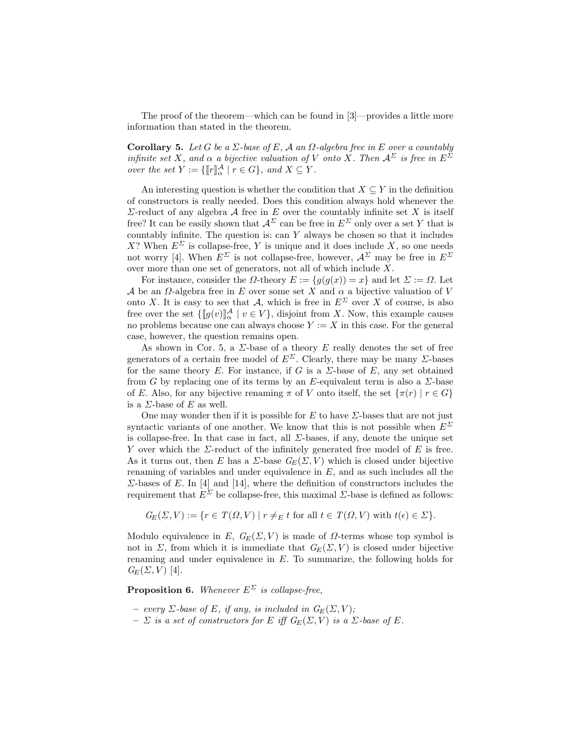The proof of the theorem—which can be found in [3]—provides a little more information than stated in the theorem.

Corollary 5. Let G be a  $\Sigma$ -base of E, A an  $\Omega$ -algebra free in E over a countably infinite set X, and  $\alpha$  a bijective valuation of V onto X. Then  $\mathcal{A}^{\Sigma}$  is free in  $E^{\Sigma}$ over the set  $Y := \{ [\![r]\!]_{\alpha}^{\mathcal{A}} \mid r \in G \}$ , and  $X \subseteq Y$ .

An interesting question is whether the condition that  $X \subseteq Y$  in the definition of constructors is really needed. Does this condition always hold whenever the  $\Sigma$ -reduct of any algebra  $\mathcal A$  free in  $E$  over the countably infinite set  $X$  is itself free? It can be easily shown that  $\mathcal{A}^{\Sigma}$  can be free in  $E^{\Sigma}$  only over a set Y that is countably infinite. The question is: can Y always be chosen so that it includes X? When  $E^{\Sigma}$  is collapse-free, Y is unique and it does include X, so one needs not worry [4]. When  $E^{\Sigma}$  is not collapse-free, however,  $\mathcal{A}^{\Sigma}$  may be free in  $E^{\Sigma}$ over more than one set of generators, not all of which include X.

For instance, consider the  $\Omega$ -theory  $E := \{g(g(x)) = x\}$  and let  $\Sigma := \Omega$ . Let A be an  $\Omega$ -algebra free in E over some set X and  $\alpha$  a bijective valuation of V onto X. It is easy to see that A, which is free in  $E^{\Sigma}$  over X of course, is also free over the set  $\{[\![g(v)]\!]_{\alpha}^{\mathcal{A}} \mid v \in V\}$ , disjoint from X. Now, this example causes no problems because one can always choose  $Y := X$  in this case. For the general case, however, the question remains open.

As shown in Cor. 5, a  $\Sigma$ -base of a theory E really denotes the set of free generators of a certain free model of  $E^{\Sigma}$ . Clearly, there may be many  $\Sigma$ -bases for the same theory E. For instance, if G is a  $\Sigma$ -base of E, any set obtained from G by replacing one of its terms by an E-equivalent term is also a  $\Sigma$ -base of E. Also, for any bijective renaming  $\pi$  of V onto itself, the set  $\{\pi(r) \mid r \in G\}$ is a  $\Sigma$ -base of E as well.

One may wonder then if it is possible for  $E$  to have  $\Sigma$ -bases that are not just syntactic variants of one another. We know that this is not possible when  $E^{\Sigma}$ is collapse-free. In that case in fact, all  $\Sigma$ -bases, if any, denote the unique set Y over which the  $\Sigma$ -reduct of the infinitely generated free model of E is free. As it turns out, then E has a  $\Sigma$ -base  $G_E(\Sigma, V)$  which is closed under bijective renaming of variables and under equivalence in  $E$ , and as such includes all the  $\Sigma$ -bases of E. In [4] and [14], where the definition of constructors includes the requirement that  $E^{\Sigma}$  be collapse-free, this maximal  $\Sigma$ -base is defined as follows:

$$
G_E(\Sigma, V) := \{ r \in T(\Omega, V) \mid r \neq_E t \text{ for all } t \in T(\Omega, V) \text{ with } t(\epsilon) \in \Sigma \}.
$$

Modulo equivalence in E,  $G_E(\Sigma, V)$  is made of  $\Omega$ -terms whose top symbol is not in  $\Sigma$ , from which it is immediate that  $G_E(\Sigma, V)$  is closed under bijective renaming and under equivalence in E. To summarize, the following holds for  $G_E(\Sigma, V)$  [4].

**Proposition 6.** Whenever  $E^{\Sigma}$  is collapse-free,

- every  $\Sigma$ -base of E, if any, is included in  $G_E(\Sigma, V)$ ;
- $\Sigma$  is a set of constructors for E iff  $G_E(\Sigma, V)$  is a  $\Sigma$ -base of E.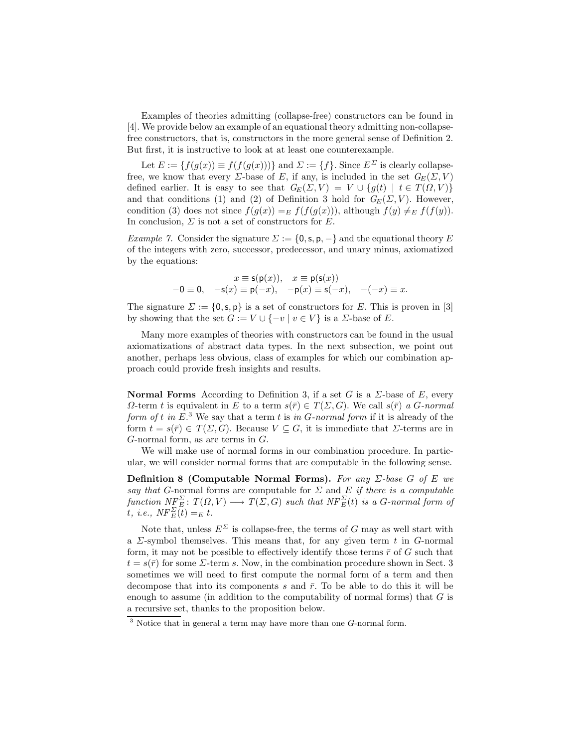Examples of theories admitting (collapse-free) constructors can be found in [4]. We provide below an example of an equational theory admitting non-collapsefree constructors, that is, constructors in the more general sense of Definition 2. But first, it is instructive to look at at least one counterexample.

Let  $E := \{f(g(x)) \equiv f(f(g(x)))\}$  and  $\Sigma := \{f\}$ . Since  $E^{\Sigma}$  is clearly collapsefree, we know that every  $\Sigma$ -base of E, if any, is included in the set  $G_E(\Sigma, V)$ defined earlier. It is easy to see that  $G_E(\Sigma, V) = V \cup \{g(t) | t \in T(\Omega, V)\}\$ and that conditions (1) and (2) of Definition 3 hold for  $G_E(\Sigma, V)$ . However, condition (3) does not since  $f(g(x)) =_E f(f(g(x)))$ , although  $f(y) \neq_E f(f(y))$ . In conclusion,  $\Sigma$  is not a set of constructors for E.

Example 7. Consider the signature  $\Sigma := \{0, s, p, -\}$  and the equational theory E of the integers with zero, successor, predecessor, and unary minus, axiomatized by the equations:

$$
x \equiv \mathsf{s}(\mathsf{p}(x)), \quad x \equiv \mathsf{p}(\mathsf{s}(x))
$$
  
-0 \equiv 0, -\mathsf{s}(x) \equiv \mathsf{p}(-x), -\mathsf{p}(x) \equiv \mathsf{s}(-x), -(-x) \equiv x.

The signature  $\Sigma := \{0, s, p\}$  is a set of constructors for E. This is proven in [3] by showing that the set  $G := V \cup \{-v \mid v \in V\}$  is a  $\Sigma$ -base of E.

Many more examples of theories with constructors can be found in the usual axiomatizations of abstract data types. In the next subsection, we point out another, perhaps less obvious, class of examples for which our combination approach could provide fresh insights and results.

**Normal Forms** According to Definition 3, if a set G is a  $\Sigma$ -base of E, every  $\Omega$ -term t is equivalent in E to a term  $s(\bar{r}) \in T(\Sigma, G)$ . We call  $s(\bar{r})$  a G-normal form of t in  $E^3$ . We say that a term t is in G-normal form if it is already of the form  $t = s(\bar{r}) \in T(\Sigma, G)$ . Because  $V \subset G$ , it is immediate that  $\Sigma$ -terms are in  $G$ -normal form, as are terms in  $G$ .

We will make use of normal forms in our combination procedure. In particular, we will consider normal forms that are computable in the following sense.

Definition 8 (Computable Normal Forms). For any  $\Sigma$ -base G of E we say that G-normal forms are computable for  $\Sigma$  and E if there is a computable function  $N_{\Gamma}^{F\Sigma}$ :  $T(\Omega,V) \longrightarrow T(\Sigma,G)$  such that  $N\overline{F}_{E}^{\Sigma}(t)$  is a G-normal form of  $\overline{t}$ , i.e.,  $\overline{NF}_{E}^{\Sigma}(\overline{t}) =_{E} t$ .

Note that, unless  $E^{\Sigma}$  is collapse-free, the terms of G may as well start with a  $\Sigma$ -symbol themselves. This means that, for any given term t in G-normal form, it may not be possible to effectively identify those terms  $\bar{r}$  of G such that  $t = s(\bar{r})$  for some  $\Sigma$ -term s. Now, in the combination procedure shown in Sect. 3 sometimes we will need to first compute the normal form of a term and then decompose that into its components s and  $\bar{r}$ . To be able to do this it will be enough to assume (in addition to the computability of normal forms) that  $G$  is a recursive set, thanks to the proposition below.

 $3$  Notice that in general a term may have more than one  $G$ -normal form.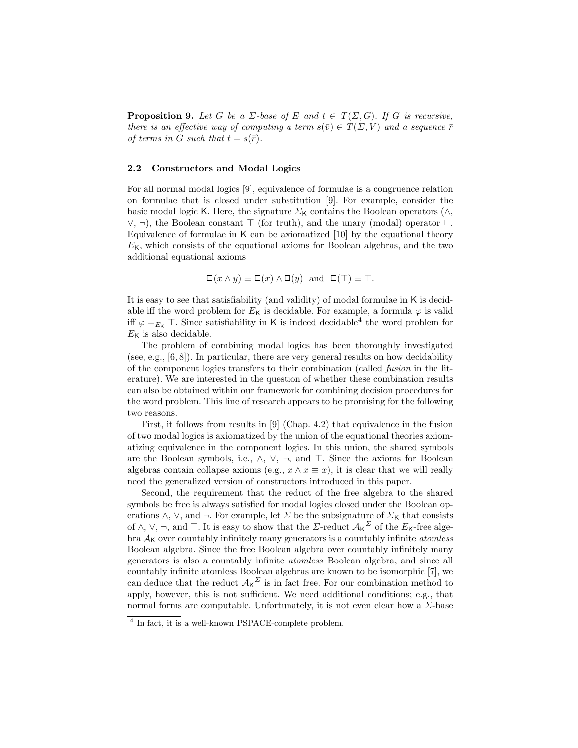**Proposition 9.** Let G be a  $\Sigma$ -base of E and  $t \in T(\Sigma, G)$ . If G is recursive, there is an effective way of computing a term  $s(\bar{v}) \in T(\Sigma, V)$  and a sequence  $\bar{r}$ of terms in G such that  $t = s(\bar{r})$ .

#### 2.2 Constructors and Modal Logics

For all normal modal logics [9], equivalence of formulae is a congruence relation on formulae that is closed under substitution [9]. For example, consider the basic modal logic K. Here, the signature  $\Sigma_{\mathsf{K}}$  contains the Boolean operators ( $\wedge$ ,  $\vee$ ,  $\neg$ ), the Boolean constant  $\top$  (for truth), and the unary (modal) operator  $\Box$ . Equivalence of formulae in K can be axiomatized [10] by the equational theory  $E<sub>K</sub>$ , which consists of the equational axioms for Boolean algebras, and the two additional equational axioms

$$
\Box(x \land y) \equiv \Box(x) \land \Box(y) \text{ and } \Box(\top) \equiv \top.
$$

It is easy to see that satisfiability (and validity) of modal formulae in K is decidable iff the word problem for  $E<sub>K</sub>$  is decidable. For example, a formula  $\varphi$  is valid iff  $\varphi =_{E_{\mathsf{K}}}$  T. Since satisfiability in K is indeed decidable<sup>4</sup> the word problem for  $E<sub>K</sub>$  is also decidable.

The problem of combining modal logics has been thoroughly investigated (see, e.g.,  $[6, 8]$ ). In particular, there are very general results on how decidability of the component logics transfers to their combination (called fusion in the literature). We are interested in the question of whether these combination results can also be obtained within our framework for combining decision procedures for the word problem. This line of research appears to be promising for the following two reasons.

First, it follows from results in [9] (Chap. 4.2) that equivalence in the fusion of two modal logics is axiomatized by the union of the equational theories axiomatizing equivalence in the component logics. In this union, the shared symbols are the Boolean symbols, i.e.,  $\wedge$ ,  $\vee$ ,  $\neg$ , and  $\top$ . Since the axioms for Boolean algebras contain collapse axioms (e.g.,  $x \wedge x \equiv x$ ), it is clear that we will really need the generalized version of constructors introduced in this paper.

Second, the requirement that the reduct of the free algebra to the shared symbols be free is always satisfied for modal logics closed under the Boolean operations  $\wedge$ ,  $\vee$ , and  $\neg$ . For example, let  $\Sigma$  be the subsignature of  $\Sigma_{\mathsf{K}}$  that consists of  $\wedge$ ,  $\vee$ ,  $\neg$ , and  $\top$ . It is easy to show that the  $\Sigma$ -reduct  $\mathcal{A}_{\mathsf{K}}^{\Sigma}$  of the  $E_{\mathsf{K}}$ -free algebra  $A_K$  over countably infinitely many generators is a countably infinite *atomless* Boolean algebra. Since the free Boolean algebra over countably infinitely many generators is also a countably infinite atomless Boolean algebra, and since all countably infinite atomless Boolean algebras are known to be isomorphic [7], we can deduce that the reduct  $A_K^{\Sigma}$  is in fact free. For our combination method to apply, however, this is not sufficient. We need additional conditions; e.g., that normal forms are computable. Unfortunately, it is not even clear how a  $\Sigma$ -base

<sup>4</sup> In fact, it is a well-known PSPACE-complete problem.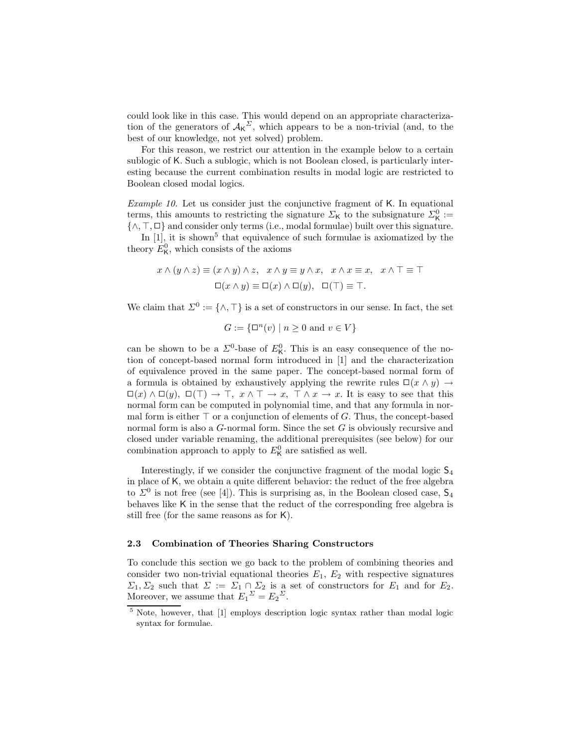could look like in this case. This would depend on an appropriate characterization of the generators of  $A_K^{\Sigma}$ , which appears to be a non-trivial (and, to the best of our knowledge, not yet solved) problem.

For this reason, we restrict our attention in the example below to a certain sublogic of K. Such a sublogic, which is not Boolean closed, is particularly interesting because the current combination results in modal logic are restricted to Boolean closed modal logics.

Example 10. Let us consider just the conjunctive fragment of K. In equational terms, this amounts to restricting the signature  $\Sigma_{\mathsf{K}}$  to the subsignature  $\Sigma_{\mathsf{K}}^0$ :=  $\{\wedge, \top, \Box\}$  and consider only terms (i.e., modal formulae) built over this signature.

In  $[1]$ , it is shown<sup>5</sup> that equivalence of such formulae is axiomatized by the theory  $E_{\mathsf{K}}^{0}$ , which consists of the axioms

$$
x \wedge (y \wedge z) \equiv (x \wedge y) \wedge z, \ x \wedge y \equiv y \wedge x, \ x \wedge x \equiv x, \ x \wedge \top \equiv \top
$$

$$
\Box(x \wedge y) \equiv \Box(x) \wedge \Box(y), \ \Box(\top) \equiv \top.
$$

We claim that  $\Sigma^0 := \{ \wedge, \top \}$  is a set of constructors in our sense. In fact, the set

$$
G := \{ \square^n(v) \mid n \ge 0 \text{ and } v \in V \}
$$

can be shown to be a  $\Sigma^0$ -base of  $E^0_K$ . This is an easy consequence of the notion of concept-based normal form introduced in [1] and the characterization of equivalence proved in the same paper. The concept-based normal form of a formula is obtained by exhaustively applying the rewrite rules  $\Box(x \land y) \rightarrow$  $\Box(x) \land \Box(y), \Box(\top) \to \top, x \land \top \to x, \top \land x \to x.$  It is easy to see that this normal form can be computed in polynomial time, and that any formula in normal form is either  $\top$  or a conjunction of elements of G. Thus, the concept-based normal form is also a G-normal form. Since the set G is obviously recursive and closed under variable renaming, the additional prerequisites (see below) for our combination approach to apply to  $E_K^0$  are satisfied as well.

Interestingly, if we consider the conjunctive fragment of the modal logic  $S_4$ in place of K, we obtain a quite different behavior: the reduct of the free algebra to  $\Sigma^0$  is not free (see [4]). This is surprising as, in the Boolean closed case,  $\mathsf{S}_4$ behaves like K in the sense that the reduct of the corresponding free algebra is still free (for the same reasons as for K).

## 2.3 Combination of Theories Sharing Constructors

To conclude this section we go back to the problem of combining theories and consider two non-trivial equational theories  $E_1, E_2$  with respective signatures  $\Sigma_1, \Sigma_2$  such that  $\Sigma := \Sigma_1 \cap \Sigma_2$  is a set of constructors for  $E_1$  and for  $E_2$ . Moreover, we assume that  $E_1^{\Sigma} = E_2^{\Sigma}$ .

<sup>5</sup> Note, however, that [1] employs description logic syntax rather than modal logic syntax for formulae.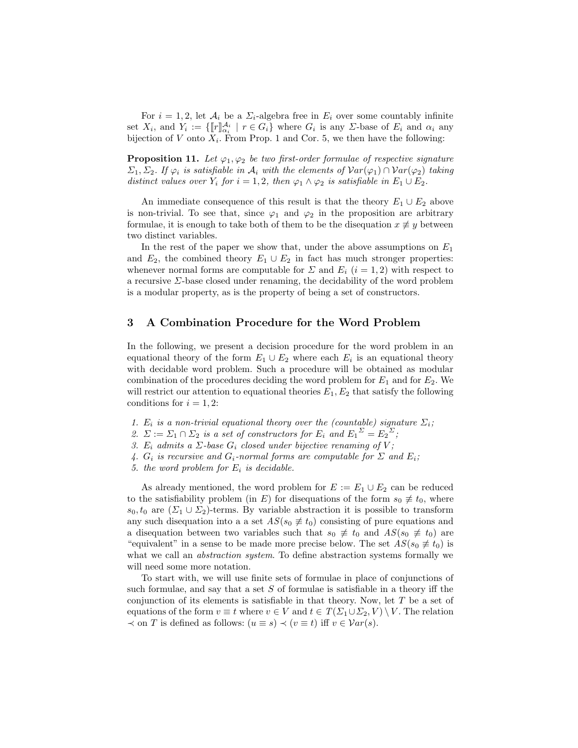For  $i = 1, 2$ , let  $\mathcal{A}_i$  be a  $\Sigma_i$ -algebra free in  $E_i$  over some countably infinite set  $X_i$ , and  $Y_i := \{\llbracket r \rrbracket_{\alpha_i}^{\mathcal{A}_i} \mid r \in G_i\}$  where  $G_i$  is any  $\Sigma$ -base of  $E_i$  and  $\alpha_i$  any bijection of V onto  $X_i$ . From Prop. 1 and Cor. 5, we then have the following:

**Proposition 11.** Let  $\varphi_1, \varphi_2$  be two first-order formulae of respective signature  $\Sigma_1, \Sigma_2$ . If  $\varphi_i$  is satisfiable in  $\mathcal{A}_i$  with the elements of  $Var(\varphi_1) \cap Var(\varphi_2)$  taking distinct values over  $Y_i$  for  $i = 1, 2$ , then  $\varphi_1 \wedge \varphi_2$  is satisfiable in  $E_1 \cup E_2$ .

An immediate consequence of this result is that the theory  $E_1 \cup E_2$  above is non-trivial. To see that, since  $\varphi_1$  and  $\varphi_2$  in the proposition are arbitrary formulae, it is enough to take both of them to be the disequation  $x \not\equiv y$  between two distinct variables.

In the rest of the paper we show that, under the above assumptions on  $E_1$ and  $E_2$ , the combined theory  $E_1 \cup E_2$  in fact has much stronger properties: whenever normal forms are computable for  $\Sigma$  and  $E_i$  (i = 1, 2) with respect to a recursive Σ-base closed under renaming, the decidability of the word problem is a modular property, as is the property of being a set of constructors.

## 3 A Combination Procedure for the Word Problem

In the following, we present a decision procedure for the word problem in an equational theory of the form  $E_1 \cup E_2$  where each  $E_i$  is an equational theory with decidable word problem. Such a procedure will be obtained as modular combination of the procedures deciding the word problem for  $E_1$  and for  $E_2$ . We will restrict our attention to equational theories  $E_1, E_2$  that satisfy the following conditions for  $i = 1, 2$ :

- 1.  $E_i$  is a non-trivial equational theory over the (countable) signature  $\Sigma_i$ ;
- 2.  $\Sigma := \Sigma_1 \cap \Sigma_2$  is a set of constructors for  $E_i$  and  $E_1^{\Sigma} = E_2^{\Sigma}$ ;
- 3. E<sub>i</sub> admits a  $\Sigma$ -base  $G_i$  closed under bijective renaming of V;
- 4.  $G_i$  is recursive and  $G_i$ -normal forms are computable for  $\Sigma$  and  $E_i$ ;
- 5. the word problem for  $E_i$  is decidable.

As already mentioned, the word problem for  $E := E_1 \cup E_2$  can be reduced to the satisfiability problem (in E) for disequations of the form  $s_0 \neq t_0$ , where  $s_0, t_0$  are  $(\Sigma_1 \cup \Sigma_2)$ -terms. By variable abstraction it is possible to transform any such disequation into a a set  $AS(s_0 \neq t_0)$  consisting of pure equations and a disequation between two variables such that  $s_0 \neq t_0$  and  $AS(s_0 \neq t_0)$  are "equivalent" in a sense to be made more precise below. The set  $AS(s_0 \neq t_0)$  is what we call an abstraction system. To define abstraction systems formally we will need some more notation.

To start with, we will use finite sets of formulae in place of conjunctions of such formulae, and say that a set  $S$  of formulae is satisfiable in a theory iff the conjunction of its elements is satisfiable in that theory. Now, let T be a set of equations of the form  $v \equiv t$  where  $v \in V$  and  $t \in T(\Sigma_1 \cup \Sigma_2, V) \setminus V$ . The relation  $\prec$  on T is defined as follows:  $(u \equiv s) \prec (v \equiv t)$  iff  $v \in \mathcal{V}ar(s)$ .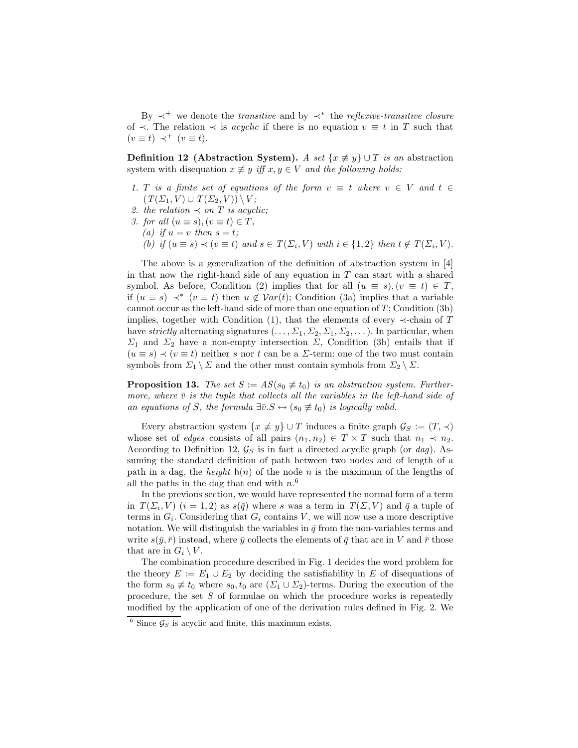By  $\prec^+$  we denote the *transitive* and by  $\prec^*$  the *reflexive-transitive closure* of  $\prec$ . The relation  $\prec$  is *acyclic* if there is no equation  $v \equiv t$  in T such that  $(v \equiv t) \prec^+ (v \equiv t).$ 

**Definition 12 (Abstraction System).** A set  $\{x \not\equiv y\} \cup T$  is an abstraction system with disequation  $x \not\equiv y$  iff  $x, y \in V$  and the following holds:

- 1. T is a finite set of equations of the form  $v \equiv t$  where  $v \in V$  and  $t \in$  $(T(\Sigma_1, V) \cup T(\Sigma_2, V)) \setminus V$ ;
- 2. the relation  $\prec$  on T is acyclic;
- 3. for all  $(u \equiv s), (v \equiv t) \in T$ ,
	- (a) if  $u = v$  then  $s = t$ ;
	- (b) if  $(u \equiv s) \prec (v \equiv t)$  and  $s \in T(\Sigma_i, V)$  with  $i \in \{1,2\}$  then  $t \notin T(\Sigma_i, V)$ .

The above is a generalization of the definition of abstraction system in [4] in that now the right-hand side of any equation in  $T$  can start with a shared symbol. As before, Condition (2) implies that for all  $(u \equiv s), (v \equiv t) \in T$ , if  $(u \equiv s) \prec^* (v \equiv t)$  then  $u \notin Var(t)$ ; Condition (3a) implies that a variable cannot occur as the left-hand side of more than one equation of T; Condition (3b) implies, together with Condition (1), that the elements of every  $\prec$ -chain of T have strictly alternating signatures  $(\ldots, \Sigma_1, \Sigma_2, \Sigma_1, \Sigma_2, \ldots)$ . In particular, when  $\Sigma_1$  and  $\Sigma_2$  have a non-empty intersection  $\Sigma$ , Condition (3b) entails that if  $(u \equiv s) \prec (v \equiv t)$  neither s nor t can be a *Σ*-term: one of the two must contain symbols from  $\Sigma_1 \setminus \Sigma$  and the other must contain symbols from  $\Sigma_2 \setminus \Sigma$ .

**Proposition 13.** The set  $S := AS(s_0 \neq t_0)$  is an abstraction system. Furthermore, where  $\bar{v}$  is the tuple that collects all the variables in the left-hand side of an equations of S, the formula  $\exists \bar{v}.S \leftrightarrow (s_0 \not\equiv t_0)$  is logically valid.

Every abstraction system  $\{x \not\equiv y\} \cup T$  induces a finite graph  $\mathcal{G}_S := (T, \prec)$ whose set of *edges* consists of all pairs  $(n_1, n_2) \in T \times T$  such that  $n_1 \prec n_2$ . According to Definition 12,  $\mathcal{G}_S$  is in fact a directed acyclic graph (or dag). Assuming the standard definition of path between two nodes and of length of a path in a dag, the *height*  $h(n)$  of the node n is the maximum of the lengths of all the paths in the dag that end with  $n<sup>6</sup>$ 

In the previous section, we would have represented the normal form of a term in  $T(\Sigma_i, V)$   $(i = 1, 2)$  as  $s(\bar{q})$  where s was a term in  $T(\Sigma, V)$  and  $\bar{q}$  a tuple of terms in  $G_i$ . Considering that  $G_i$  contains V, we will now use a more descriptive notation. We will distinguish the variables in  $\bar{q}$  from the non-variables terms and write  $s(\bar{y}, \bar{r})$  instead, where  $\bar{y}$  collects the elements of  $\bar{q}$  that are in V and  $\bar{r}$  those that are in  $G_i \setminus V$ .

The combination procedure described in Fig. 1 decides the word problem for the theory  $E := E_1 \cup E_2$  by deciding the satisfiability in E of disequations of the form  $s_0 \neq t_0$  where  $s_0, t_0$  are  $(\Sigma_1 \cup \Sigma_2)$ -terms. During the execution of the procedure, the set  $S$  of formulae on which the procedure works is repeatedly modified by the application of one of the derivation rules defined in Fig. 2. We

 $6$  Since  $\mathcal{G}_S$  is acyclic and finite, this maximum exists.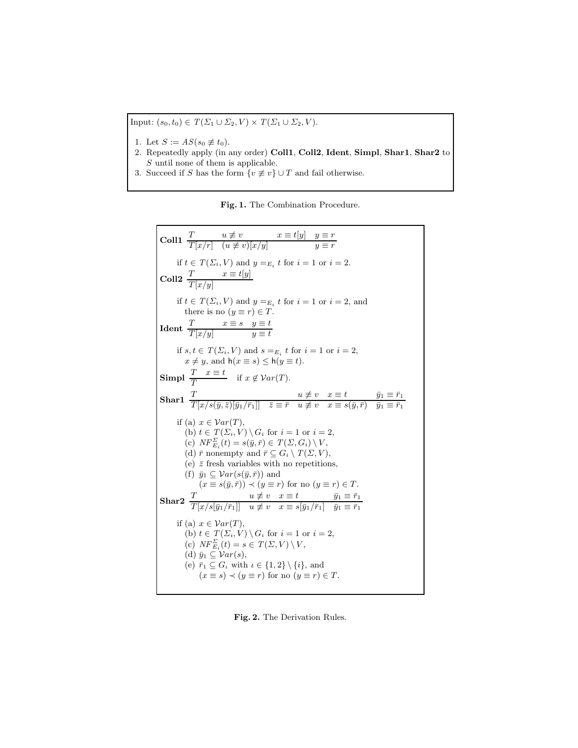Input:  $(s_0, t_0) \in T(\Sigma_1 \cup \Sigma_2, V) \times T(\Sigma_1 \cup \Sigma_2, V)$ .

- 1. Let  $S := AS(s_0 \not\equiv t_0)$ .
- 2. Repeatedly apply (in any order) Coll1, Coll2, Ident, Simpl, Shar1, Shar2 to S until none of them is applicable.
- 3. Succeed if S has the form  $\{v \not\equiv v\} \cup T$  and fail otherwise.

Fig. 1. The Combination Procedure.

**Coll1**  $\frac{T}{T[x/r]}$   $\frac{u \neq v}{(u \neq v)[x/y]}$   $\frac{x \equiv t[y]}{y \equiv r}$ if  $t \in T(\Sigma_i, V)$  and  $y =_{E_i} t$  for  $i = 1$  or  $i = 2$ . Coll2  $\frac{T}{T[x/y]}$   $x \equiv t[y]$ if  $t \in T(\Sigma_i, V)$  and  $y =_{E_i} t$  for  $i = 1$  or  $i = 2$ , and there is no  $(y \equiv r) \in T$ . Ident  $\frac{T}{T[x]_x}$   $x \equiv s$   $y \equiv t$  $T[x/y]$   $y \equiv t$ if  $s, t \in T(\Sigma_i, V)$  and  $s =_{E_i} t$  for  $i = 1$  or  $i = 2$ ,  $x \neq y$ , and  $h(x \equiv s) \leq h(y \equiv t)$ . Simpl  $\frac{T}{T} \quad x \equiv t$  if  $x \notin \mathcal{V}ar(T)$ .  $\textbf{Shar} \textbf{1} \begin{array}{ll} \overline{T} & u \not\equiv v \quad x \equiv t \ \overline{T}[x/s(\bar{y}, \bar{z})[\bar{y}_1/\bar{r}_1]] & \bar{z} \equiv \bar{r} \quad u \not\equiv v \quad x \equiv s(\bar{y}, \bar{r}) \quad \bar{y}_1 \equiv \bar{r}_1 \end{array}$ if (a)  $x \in Var(T)$ , (b)  $t \in T(\Sigma_i, V) \setminus G_i$  for  $i = 1$  or  $i = 2$ , (c)  $NF_{E_i}^{\Sigma}(t) = s(\bar{y}, \bar{r}) \in T(\Sigma, G_i) \setminus V$ , (d)  $\bar{r}$  nonempty and  $\bar{r} \subseteq G_i \setminus T(\Sigma, V)$ , (e)  $\bar{z}$  fresh variables with no repetitions, (f)  $\bar{y}_1 \subseteq \mathcal{V}ar(s(\bar{y}, \bar{r}))$  and  $(x \equiv s(\bar{y}, \bar{r})) \prec (y \equiv r)$  for no  $(y \equiv r) \in T$ .  $\textbf{Shar2} \;\; \frac{T}{T[x/s[\bar y_1/\bar r_1]]} \;\; \begin{array}{l} u \not\equiv v \;\; x \equiv t \;\; \text{if} \;\; \bar y_1 \equiv \bar r_1 \ u \not\equiv v \;\; x \equiv s[\bar y_1/\bar r_1] \;\; \bar y_1 \equiv \bar r_1 \end{array}$ if (a)  $x \in Var(T)$ , (b)  $t \in T(\Sigma_i, V) \setminus G_i$  for  $i = 1$  or  $i = 2$ , (c)  $NF_{E_i}^{\Sigma}(t) = s \in T(\Sigma, V) \setminus V$ , (d)  $\bar{y}_1 \subseteq \mathcal{V}ar(s)$ , (e)  $\bar{r}_1 \subseteq G_\iota$  with  $\iota \in \{1,2\} \setminus \{i\}$ , and  $(x \equiv s) \prec (y \equiv r)$  for no  $(y \equiv r) \in T$ .

Fig. 2. The Derivation Rules.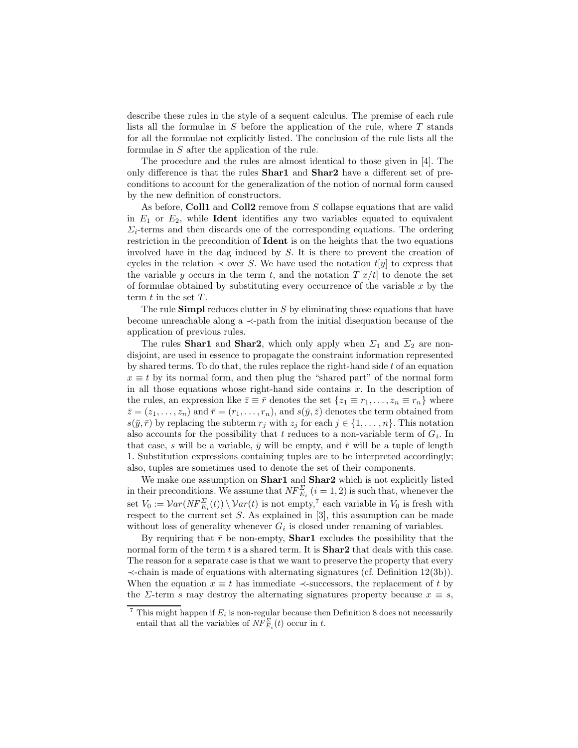describe these rules in the style of a sequent calculus. The premise of each rule lists all the formulae in  $S$  before the application of the rule, where  $T$  stands for all the formulae not explicitly listed. The conclusion of the rule lists all the formulae in S after the application of the rule.

The procedure and the rules are almost identical to those given in [4]. The only difference is that the rules Shar1 and Shar2 have a different set of preconditions to account for the generalization of the notion of normal form caused by the new definition of constructors.

As before, Coll1 and Coll2 remove from  $S$  collapse equations that are valid in  $E_1$  or  $E_2$ , while **Ident** identifies any two variables equated to equivalent  $\Sigma_i$ -terms and then discards one of the corresponding equations. The ordering restriction in the precondition of Ident is on the heights that the two equations involved have in the dag induced by S. It is there to prevent the creation of cycles in the relation  $\prec$  over S. We have used the notation  $t[y]$  to express that the variable y occurs in the term t, and the notation  $T[x/t]$  to denote the set of formulae obtained by substituting every occurrence of the variable  $x$  by the term  $t$  in the set  $T$ .

The rule **Simpl** reduces clutter in  $S$  by eliminating those equations that have become unreachable along a ≺-path from the initial disequation because of the application of previous rules.

The rules **Shar1** and **Shar2**, which only apply when  $\Sigma_1$  and  $\Sigma_2$  are nondisjoint, are used in essence to propagate the constraint information represented by shared terms. To do that, the rules replace the right-hand side  $t$  of an equation  $x \equiv t$  by its normal form, and then plug the "shared part" of the normal form in all those equations whose right-hand side contains  $x$ . In the description of the rules, an expression like  $\bar{z} \equiv \bar{r}$  denotes the set  $\{z_1 \equiv r_1, \ldots, z_n \equiv r_n\}$  where  $\bar{z} = (z_1, \ldots, z_n)$  and  $\bar{r} = (r_1, \ldots, r_n)$ , and  $s(\bar{y}, \bar{z})$  denotes the term obtained from  $s(\bar{y}, \bar{r})$  by replacing the subterm  $r_j$  with  $z_j$  for each  $j \in \{1, \ldots, n\}$ . This notation also accounts for the possibility that  $t$  reduces to a non-variable term of  $G_i$ . In that case, s will be a variable,  $\bar{y}$  will be empty, and  $\bar{r}$  will be a tuple of length 1. Substitution expressions containing tuples are to be interpreted accordingly; also, tuples are sometimes used to denote the set of their components.

We make one assumption on **Shar1** and **Shar2** which is not explicitly listed in their preconditions. We assume that  $NF_{E_i}^{\Sigma}$   $(i = 1, 2)$  is such that, whenever the set  $V_0 := \mathcal{V}ar(NF_{E_i}^{\Sigma}(t)) \setminus \mathcal{V}ar(t)$  is not empty,<sup>7</sup> each variable in  $V_0$  is fresh with respect to the current set  $S$ . As explained in  $[3]$ , this assumption can be made without loss of generality whenever  $G_i$  is closed under renaming of variables.

By requiring that  $\bar{r}$  be non-empty, **Shar1** excludes the possibility that the normal form of the term  $t$  is a shared term. It is  $\textbf{Shar2}$  that deals with this case. The reason for a separate case is that we want to preserve the property that every ≺-chain is made of equations with alternating signatures (cf. Definition 12(3b)). When the equation  $x \equiv t$  has immediate  $\prec$ -successors, the replacement of t by the  $\Sigma$ -term s may destroy the alternating signatures property because  $x \equiv s$ ,

<sup>&</sup>lt;sup>7</sup> This might happen if  $E_i$  is non-regular because then Definition 8 does not necessarily entail that all the variables of  $\overline{NF}_{E_i}^{\Sigma}(t)$  occur in t.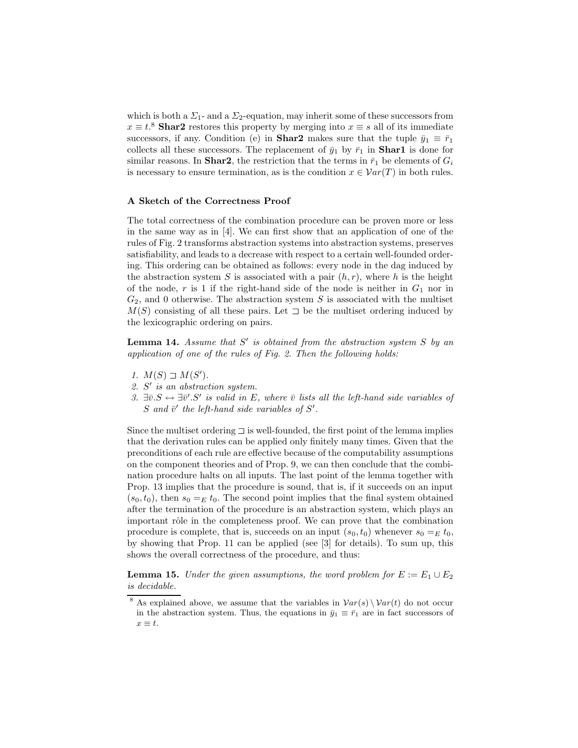which is both a  $\Sigma_1$ - and a  $\Sigma_2$ -equation, may inherit some of these successors from  $x \equiv t$ <sup>8</sup> Shar2 restores this property by merging into  $x \equiv s$  all of its immediate successors, if any. Condition (e) in **Shar2** makes sure that the tuple  $\bar{y}_1 \equiv \bar{r}_1$ collects all these successors. The replacement of  $\bar{y}_1$  by  $\bar{r}_1$  in **Shar1** is done for similar reasons. In **Shar2**, the restriction that the terms in  $\bar{r}_1$  be elements of  $G_i$ is necessary to ensure termination, as is the condition  $x \in Var(T)$  in both rules.

### A Sketch of the Correctness Proof

The total correctness of the combination procedure can be proven more or less in the same way as in [4]. We can first show that an application of one of the rules of Fig. 2 transforms abstraction systems into abstraction systems, preserves satisfiability, and leads to a decrease with respect to a certain well-founded ordering. This ordering can be obtained as follows: every node in the dag induced by the abstraction system S is associated with a pair  $(h, r)$ , where h is the height of the node, r is 1 if the right-hand side of the node is neither in  $G_1$  nor in  $G_2$ , and 0 otherwise. The abstraction system S is associated with the multiset  $M(S)$  consisting of all these pairs. Let  $\exists$  be the multiset ordering induced by the lexicographic ordering on pairs.

**Lemma 14.** Assume that  $S'$  is obtained from the abstraction system  $S$  by an application of one of the rules of Fig. 2. Then the following holds:

- 1.  $M(S) \sqsupset M(S')$ .
- 2.  $S'$  is an abstraction system.
- 3.  $\exists \overline{v}. S \leftrightarrow \exists \overline{v}'. S'$  is valid in E, where  $\overline{v}$  lists all the left-hand side variables of S and  $\bar{v}'$  the left-hand side variables of  $S'$ .

Since the multiset ordering  $\exists$  is well-founded, the first point of the lemma implies that the derivation rules can be applied only finitely many times. Given that the preconditions of each rule are effective because of the computability assumptions on the component theories and of Prop. 9, we can then conclude that the combination procedure halts on all inputs. The last point of the lemma together with Prop. 13 implies that the procedure is sound, that is, if it succeeds on an input  $(s_0, t_0)$ , then  $s_0 =_E t_0$ . The second point implies that the final system obtained after the termination of the procedure is an abstraction system, which plays an important rôle in the completeness proof. We can prove that the combination procedure is complete, that is, succeeds on an input  $(s_0, t_0)$  whenever  $s_0 =_E t_0$ , by showing that Prop. 11 can be applied (see [3] for details). To sum up, this shows the overall correctness of the procedure, and thus:

**Lemma 15.** Under the given assumptions, the word problem for  $E := E_1 \cup E_2$ is decidable.

<sup>&</sup>lt;sup>8</sup> As explained above, we assume that the variables in  $Var(s) \setminus Var(t)$  do not occur in the abstraction system. Thus, the equations in  $\bar{y}_1 \equiv \bar{r}_1$  are in fact successors of  $x \equiv t.$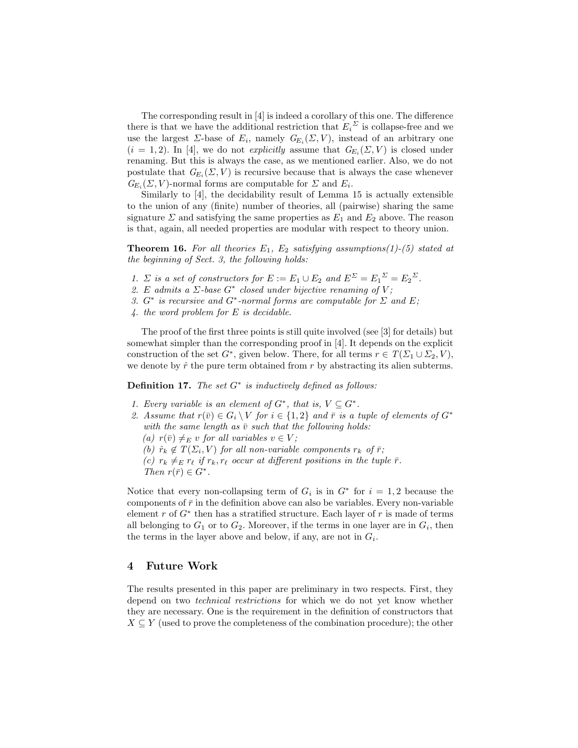The corresponding result in [4] is indeed a corollary of this one. The difference there is that we have the additional restriction that  $E_i^{\Sigma}$  is collapse-free and we use the largest  $\Sigma$ -base of  $E_i$ , namely  $G_{E_i}(\Sigma, V)$ , instead of an arbitrary one  $(i = 1, 2)$ . In [4], we do not *explicitly* assume that  $G_{E_i}(\Sigma, V)$  is closed under renaming. But this is always the case, as we mentioned earlier. Also, we do not postulate that  $G_{E_i}(\Sigma, V)$  is recursive because that is always the case whenever  $G_{E_i}(\Sigma, V)$ -normal forms are computable for  $\Sigma$  and  $E_i$ .

Similarly to [4], the decidability result of Lemma 15 is actually extensible to the union of any (finite) number of theories, all (pairwise) sharing the same signature  $\Sigma$  and satisfying the same properties as  $E_1$  and  $E_2$  above. The reason is that, again, all needed properties are modular with respect to theory union.

**Theorem 16.** For all theories  $E_1$ ,  $E_2$  satisfying assumptions(1)-(5) stated at the beginning of Sect. 3, the following holds:

- 1.  $\Sigma$  is a set of constructors for  $E := E_1 \cup E_2$  and  $E^{\Sigma} = E_1^{\Sigma} = E_2^{\Sigma}$ .
- 2. E admits a  $\Sigma$ -base  $G^*$  closed under bijective renaming of V;
- 3.  $G^*$  is recursive and  $G^*$ -normal forms are computable for  $\Sigma$  and  $E$ ;
- 4. the word problem for E is decidable.

The proof of the first three points is still quite involved (see [3] for details) but somewhat simpler than the corresponding proof in [4]. It depends on the explicit construction of the set  $G^*$ , given below. There, for all terms  $r \in T(\Sigma_1 \cup \Sigma_2, V)$ , we denote by  $\hat{r}$  the pure term obtained from r by abstracting its alien subterms.

**Definition 17.** The set  $G^*$  is inductively defined as follows:

- 1. Every variable is an element of  $G^*$ , that is,  $V \subseteq G^*$ .
- 2. Assume that  $r(\bar{v}) \in G_i \setminus V$  for  $i \in \{1,2\}$  and  $\bar{r}$  is a tuple of elements of  $G^*$ with the same length as  $\bar{v}$  such that the following holds:
	- (a)  $r(\bar{v}) \neq_E v$  for all variables  $v \in V$ ;
	- (b)  $\hat{r}_k \notin T(\Sigma_i, V)$  for all non-variable components  $r_k$  of  $\overline{r}$ ;
	- (c)  $r_k \neq_{E} r_{\ell}$  if  $r_k, r_{\ell}$  occur at different positions in the tuple  $\bar{r}$ .
	- Then  $r(\bar{r}) \in G^*$ .

Notice that every non-collapsing term of  $G_i$  is in  $G^*$  for  $i = 1, 2$  because the components of  $\bar{r}$  in the definition above can also be variables. Every non-variable element  $r$  of  $G^*$  then has a stratified structure. Each layer of  $r$  is made of terms all belonging to  $G_1$  or to  $G_2$ . Moreover, if the terms in one layer are in  $G_i$ , then the terms in the layer above and below, if any, are not in  $G_i$ .

# 4 Future Work

The results presented in this paper are preliminary in two respects. First, they depend on two technical restrictions for which we do not yet know whether they are necessary. One is the requirement in the definition of constructors that  $X \subseteq Y$  (used to prove the completeness of the combination procedure); the other